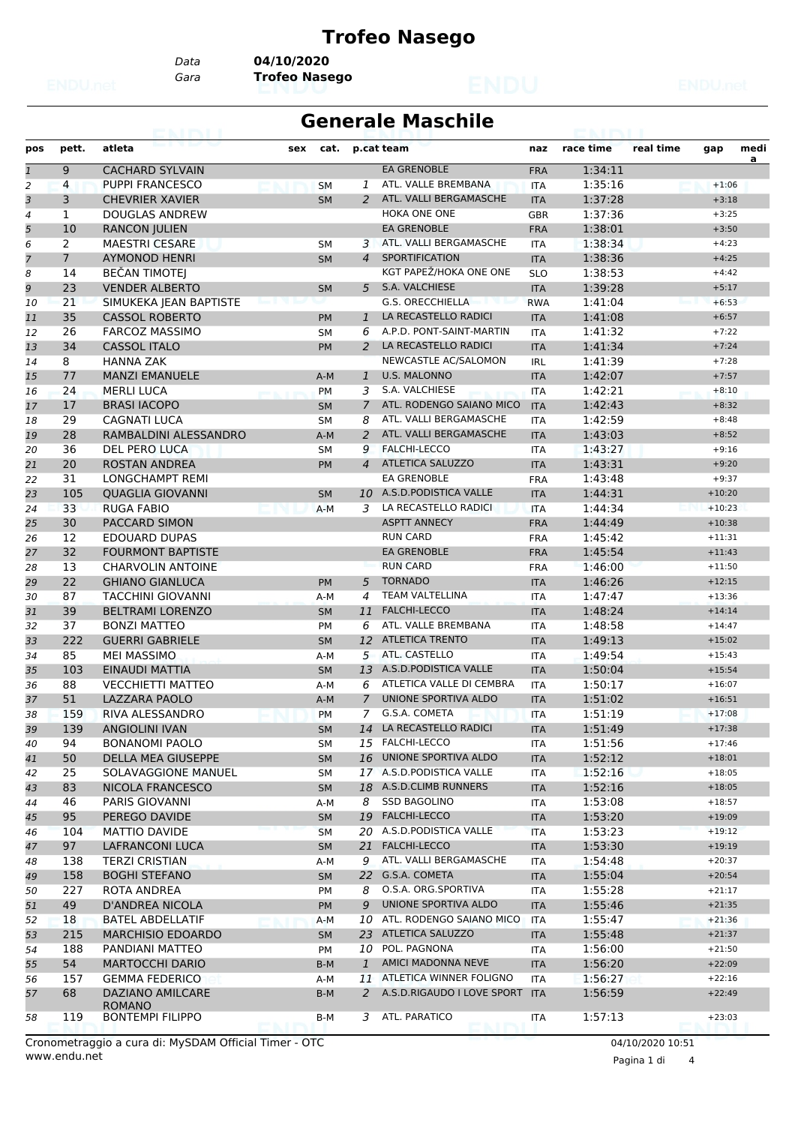#### **Trofeo Nasego**

*Data* **04/10/2020**

*Gara* **Trofeo Nasego**

#### **Generale Maschile**

| pos          | pett.          | atleta                                   | sex | cat.      |                | p.cat team                 | naz        | race time | real time | gap      | medi<br>a |
|--------------|----------------|------------------------------------------|-----|-----------|----------------|----------------------------|------------|-----------|-----------|----------|-----------|
| $\mathbf{1}$ | 9              | <b>CACHARD SYLVAIN</b>                   |     |           |                | <b>EA GRENOBLE</b>         | <b>FRA</b> | 1:34:11   |           |          |           |
| 2            | 4              | <b>PUPPI FRANCESCO</b>                   |     | <b>SM</b> | 1              | ATL. VALLE BREMBANA        | <b>ITA</b> | 1:35:16   |           | $+1:06$  |           |
| 3            | 3              | <b>CHEVRIER XAVIER</b>                   |     | <b>SM</b> | 2              | ATL. VALLI BERGAMASCHE     | <b>ITA</b> | 1:37:28   |           | $+3:18$  |           |
| 4            | $\mathbf{1}$   | <b>DOUGLAS ANDREW</b>                    |     |           |                | HOKA ONE ONE               | <b>GBR</b> | 1:37:36   |           | $+3:25$  |           |
| 5            | 10             | <b>RANCON JULIEN</b>                     |     |           |                | <b>EA GRENOBLE</b>         | <b>FRA</b> | 1:38:01   |           | $+3:50$  |           |
| 6            | $\overline{2}$ | <b>MAESTRI CESARE</b>                    |     | <b>SM</b> |                | 3 ATL. VALLI BERGAMASCHE   | <b>ITA</b> | 1:38:34   |           | $+4:23$  |           |
| 7            | $\overline{7}$ | <b>AYMONOD HENRI</b>                     |     | <b>SM</b> | $\overline{4}$ | SPORTIFICATION             | <b>ITA</b> | 1:38:36   |           | $+4:25$  |           |
| 8            | 14             | <b>BEČAN TIMOTEJ</b>                     |     |           |                | KGT PAPEŽ/HOKA ONE ONE     | <b>SLO</b> | 1:38:53   |           | $+4:42$  |           |
| 9            | 23             | <b>VENDER ALBERTO</b>                    |     | <b>SM</b> | 5              | S.A. VALCHIESE             | <b>ITA</b> | 1:39:28   |           | $+5:17$  |           |
| 10           | 21             | SIMUKEKA JEAN BAPTISTE                   |     |           |                | <b>G.S. ORECCHIELLA</b>    | <b>RWA</b> | 1:41:04   |           | $+6:53$  |           |
| 11           | 35             | <b>CASSOL ROBERTO</b>                    |     | <b>PM</b> | $\mathbf{1}$   | LA RECASTELLO RADICI       | <b>ITA</b> | 1:41:08   |           | $+6:57$  |           |
| 12           | 26             | <b>FARCOZ MASSIMO</b>                    |     | SΜ        | 6              | A.P.D. PONT-SAINT-MARTIN   | <b>ITA</b> | 1:41:32   |           | $+7:22$  |           |
| 13           | 34             | <b>CASSOL ITALO</b>                      |     | PM        | $\overline{2}$ | LA RECASTELLO RADICI       | <b>ITA</b> | 1:41:34   |           | $+7:24$  |           |
| 14           | 8              | <b>HANNA ZAK</b>                         |     |           |                | NEWCASTLE AC/SALOMON       | <b>IRL</b> | 1:41:39   |           | $+7:28$  |           |
| 15           | 77             | <b>MANZI EMANUELE</b>                    |     | $A-M$     | $\mathbf{1}$   | <b>U.S. MALONNO</b>        | <b>ITA</b> | 1:42:07   |           | $+7:57$  |           |
| 16           | 24             | <b>MERLI LUCA</b>                        |     | PM        | 3              | S.A. VALCHIESE             | <b>ITA</b> | 1:42:21   |           | $+8:10$  |           |
| 17           | 17             | <b>BRASI IACOPO</b>                      |     | <b>SM</b> | $\overline{7}$ | ATL. RODENGO SAIANO MICO   | <b>ITA</b> | 1:42:43   |           | $+8:32$  |           |
| 18           | 29             | <b>CAGNATI LUCA</b>                      |     | <b>SM</b> | 8              | ATL. VALLI BERGAMASCHE     |            | 1:42:59   |           | $+8:48$  |           |
|              | 28             | RAMBALDINI ALESSANDRO                    |     |           | $\overline{2}$ | ATL. VALLI BERGAMASCHE     | <b>ITA</b> | 1:43:03   |           | $+8:52$  |           |
| 19           |                |                                          |     | $A-M$     |                | <b>FALCHI-LECCO</b>        | <b>ITA</b> |           |           |          |           |
| 20           | 36             | DEL PERO LUCA                            |     | <b>SM</b> | 9              |                            | <b>ITA</b> | 1:43:27   |           | $+9:16$  |           |
| 21           | 20             | <b>ROSTAN ANDREA</b>                     |     | <b>PM</b> | $\overline{4}$ | <b>ATLETICA SALUZZO</b>    | <b>ITA</b> | 1:43:31   |           | $+9:20$  |           |
| 22           | 31             | <b>LONGCHAMPT REMI</b>                   |     |           |                | <b>EA GRENOBLE</b>         | <b>FRA</b> | 1:43:48   |           | $+9:37$  |           |
| 23           | 105            | <b>OUAGLIA GIOVANNI</b>                  |     | <b>SM</b> |                | 10 A.S.D.PODISTICA VALLE   | <b>ITA</b> | 1:44:31   |           | $+10:20$ |           |
| 24           | 33             | <b>RUGA FABIO</b>                        |     | $A-M$     | 3              | LA RECASTELLO RADICI       | <b>ITA</b> | 1:44:34   |           | $+10:23$ |           |
| 25           | 30             | PACCARD SIMON                            |     |           |                | <b>ASPTT ANNECY</b>        | <b>FRA</b> | 1:44:49   |           | $+10:38$ |           |
| 26           | 12             | <b>EDOUARD DUPAS</b>                     |     |           |                | <b>RUN CARD</b>            | <b>FRA</b> | 1:45:42   |           | $+11:31$ |           |
| 27           | 32             | <b>FOURMONT BAPTISTE</b>                 |     |           |                | <b>EA GRENOBLE</b>         | <b>FRA</b> | 1:45:54   |           | $+11:43$ |           |
| 28           | 13             | <b>CHARVOLIN ANTOINE</b>                 |     |           |                | <b>RUN CARD</b>            | <b>FRA</b> | 1:46:00   |           | $+11:50$ |           |
| 29           | 22             | <b>GHIANO GIANLUCA</b>                   |     | <b>PM</b> | 5              | <b>TORNADO</b>             | <b>ITA</b> | 1:46:26   |           | $+12:15$ |           |
| 30           | 87             | <b>TACCHINI GIOVANNI</b>                 |     | A-M       | 4              | <b>TEAM VALTELLINA</b>     | <b>ITA</b> | 1:47:47   |           | $+13:36$ |           |
| 31           | 39             | <b>BELTRAMI LORENZO</b>                  |     | <b>SM</b> | 11             | <b>FALCHI-LECCO</b>        | <b>ITA</b> | 1:48:24   |           | $+14:14$ |           |
| 32           | 37             | <b>BONZI MATTEO</b>                      |     | <b>PM</b> | 6              | ATL. VALLE BREMBANA        | <b>ITA</b> | 1:48:58   |           | $+14:47$ |           |
| 33           | 222            | <b>GUERRI GABRIELE</b>                   |     | <b>SM</b> | 12             | <b>ATLETICA TRENTO</b>     | <b>ITA</b> | 1:49:13   |           | $+15:02$ |           |
| 34           | 85             | <b>MEI MASSIMO</b>                       |     | A-M       | 5              | ATL. CASTELLO              | <b>ITA</b> | 1:49:54   |           | $+15:43$ |           |
| 35           | 103            | EINAUDI MATTIA                           |     | <b>SM</b> | 13             | A.S.D.PODISTICA VALLE      | <b>ITA</b> | 1:50:04   |           | $+15:54$ |           |
| 36           | 88             | <b>VECCHIETTI MATTEO</b>                 |     | A-M       | 6              | ATLETICA VALLE DI CEMBRA   | <b>ITA</b> | 1:50:17   |           | $+16:07$ |           |
| 37           | 51             | <b>LAZZARA PAOLO</b>                     |     | $A-M$     | $\overline{7}$ | UNIONE SPORTIVA ALDO       | <b>ITA</b> | 1:51:02   |           | $+16:51$ |           |
| 38           | 159            | <b>RIVA ALESSANDRO</b>                   |     | <b>PM</b> | $7^{\circ}$    | G.S.A. COMETA              | <b>ITA</b> | 1:51:19   |           | $+17:08$ |           |
| 39           | 139            | <b>ANGIOLINI IVAN</b>                    |     | SM        |                | 14 LA RECASTELLO RADICI    | $\sf ITA$  | 1:51:49   |           | $+17:38$ |           |
| 40           | 94             | <b>BONANOMI PAOLO</b>                    |     | SМ        |                | 15 FALCHI-LECCO            | ITA        | 1:51:56   |           | $+17:46$ |           |
| 41           | 50             | DELLA MEA GIUSEPPE                       |     | <b>SM</b> | 16             | UNIONE SPORTIVA ALDO       | <b>ITA</b> | 1:52:12   |           | $+18:01$ |           |
| 42           | 25             | SOLAVAGGIONE MANUEL                      |     | SΜ        |                | 17 A.S.D.PODISTICA VALLE   | ITA        | 1:52:16   |           | $+18:05$ |           |
| 43           | 83             | NICOLA FRANCESCO                         |     | <b>SM</b> |                | 18 A.S.D.CLIMB RUNNERS     | <b>ITA</b> | 1:52:16   |           | $+18:05$ |           |
| 44           | 46             | <b>PARIS GIOVANNI</b>                    |     | A-M       | 8              | <b>SSD BAGOLINO</b>        | ITA        | 1:53:08   |           | $+18:57$ |           |
| 45           | 95             | PEREGO DAVIDE                            |     | <b>SM</b> | 19             | FALCHI-LECCO               | <b>ITA</b> | 1:53:20   |           | $+19:09$ |           |
| 46           | 104            | MATTIO DAVIDE                            |     | <b>SM</b> | 20             | A.S.D.PODISTICA VALLE      | <b>ITA</b> | 1:53:23   |           | $+19:12$ |           |
| 47           | 97             | <b>LAFRANCONI LUCA</b>                   |     | <b>SM</b> | 21             | <b>FALCHI-LECCO</b>        | <b>ITA</b> | 1:53:30   |           | $+19:19$ |           |
|              | 138            | <b>TERZI CRISTIAN</b>                    |     |           | 9              | ATL. VALLI BERGAMASCHE     |            | 1:54:48   |           | $+20:37$ |           |
| 48           |                |                                          |     | A-M       |                | 22 G.S.A. COMETA           | ITA        |           |           |          |           |
| 49           | 158            | <b>BOGHI STEFANO</b>                     |     | <b>SM</b> |                |                            | <b>ITA</b> | 1:55:04   |           | $+20:54$ |           |
| 50           | 227            | ROTA ANDREA                              |     | PM        | 8              | O.S.A. ORG.SPORTIVA        | ITA        | 1:55:28   |           | $+21:17$ |           |
| 51           | 49             | <b>D'ANDREA NICOLA</b>                   |     | PM        | 9              | UNIONE SPORTIVA ALDO       | <b>ITA</b> | 1:55:46   |           | $+21:35$ |           |
| 52           | 18             | <b>BATEL ABDELLATIF</b>                  |     | A-M       | 10             | ATL. RODENGO SAIANO MICO   | <b>ITA</b> | 1:55:47   |           | $+21:36$ |           |
| 53           | 215            | <b>MARCHISIO EDOARDO</b>                 |     | <b>SM</b> | 23             | ATLETICA SALUZZO           | <b>ITA</b> | 1:55:48   |           | $+21:37$ |           |
| 54           | 188            | PANDIANI MATTEO                          |     | PM        | 10             | POL. PAGNONA               | ITA        | 1:56:00   |           | $+21:50$ |           |
| 55           | 54             | <b>MARTOCCHI DARIO</b>                   |     | B-M       | $\mathbf{1}$   | AMICI MADONNA NEVE         | <b>ITA</b> | 1:56:20   |           | $+22:09$ |           |
| 56           | 157            | <b>GEMMA FEDERICO</b>                    |     | A-M       | 11             | ATLETICA WINNER FOLIGNO    | ITA        | 1:56:27   |           | $+22:16$ |           |
| 57           | 68             | DAZIANO AMILCARE                         |     | B-M       | 2              | A.S.D.RIGAUDO I LOVE SPORT | <b>ITA</b> | 1:56:59   |           | $+22:49$ |           |
|              | 119            | <b>ROMANO</b><br><b>BONTEMPI FILIPPO</b> |     |           | 3              | ATL. PARATICO              |            | 1:57:13   |           | $+23:03$ |           |
| 58           |                |                                          |     | B-M       |                |                            | ITA        |           |           |          |           |

www.endu.net Cronometraggio a cura di: MySDAM Official Timer - OTC 04/10/2020 10:51

Pagina 1 di 4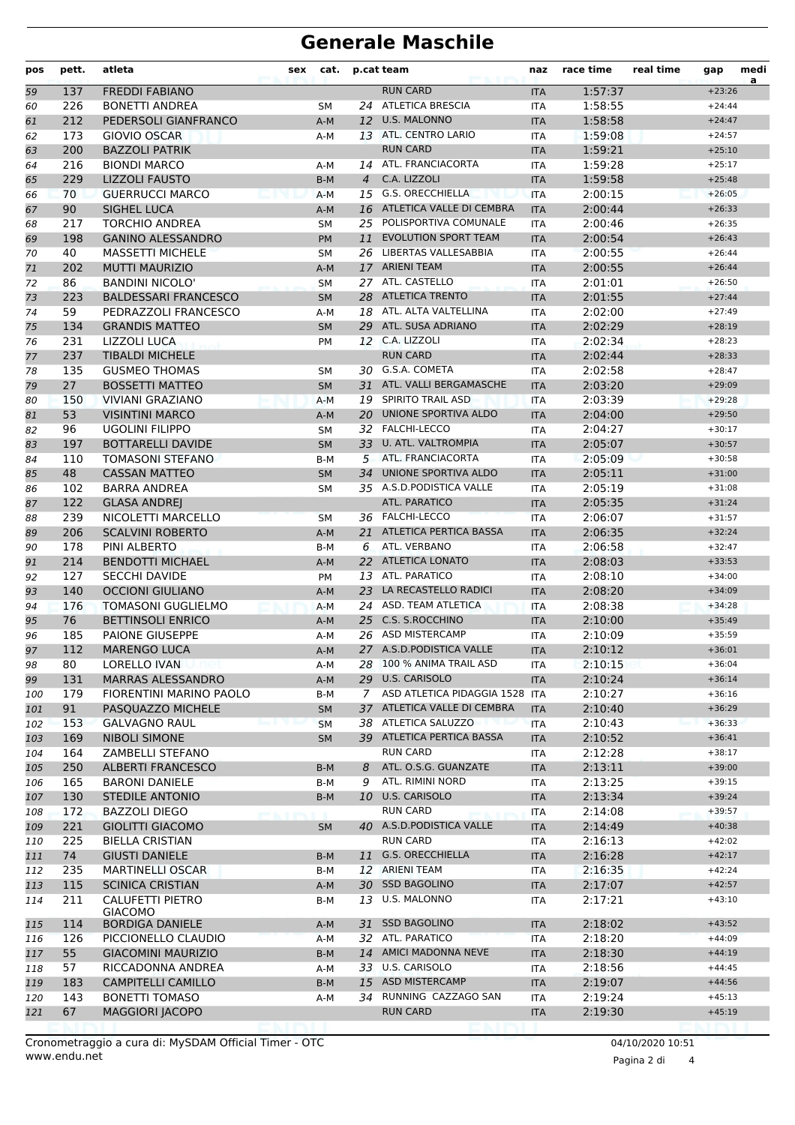## **Generale Maschile**

| 59<br>60<br>61<br>62<br>63<br>64<br>65<br>66<br>67<br>68<br>69<br>70<br>71<br>72<br>73 | 137<br>226<br>212<br>173<br>200<br>216<br>229<br>70<br>90<br>217<br>198<br>40<br>202<br>86<br>223 | <b>FREDDI FABIANO</b><br><b>BONETTI ANDREA</b><br>PEDERSOLI GIANFRANCO<br><b>GIOVIO OSCAR</b><br><b>BAZZOLI PATRIK</b><br><b>BIONDI MARCO</b><br><b>LIZZOLI FAUSTO</b><br><b>GUERRUCCI MARCO</b><br><b>SIGHEL LUCA</b><br><b>TORCHIO ANDREA</b><br><b>GANINO ALESSANDRO</b><br><b>MASSETTI MICHELE</b><br><b>MUTTI MAURIZIO</b> | <b>SM</b><br>$A-M$<br>A-M<br>$A-M$<br>$B-M$<br>$A-M$<br>$A-M$ | 12<br>$\overline{4}$ | <b>RUN CARD</b><br>24 ATLETICA BRESCIA<br><b>U.S. MALONNO</b><br>13 ATL. CENTRO LARIO<br><b>RUN CARD</b><br>14 ATL. FRANCIACORTA<br>C.A. LIZZOLI | <b>ITA</b><br>ITA<br><b>ITA</b><br>ITA<br><b>ITA</b><br><b>ITA</b> | 1:57:37<br>1:58:55<br>1:58:58<br>1:59:08<br>1:59:21<br>1:59:28 | $+23:26$<br>$+24:44$<br>$+24:47$<br>$+24:57$<br>$+25:10$ | a |
|----------------------------------------------------------------------------------------|---------------------------------------------------------------------------------------------------|---------------------------------------------------------------------------------------------------------------------------------------------------------------------------------------------------------------------------------------------------------------------------------------------------------------------------------|---------------------------------------------------------------|----------------------|--------------------------------------------------------------------------------------------------------------------------------------------------|--------------------------------------------------------------------|----------------------------------------------------------------|----------------------------------------------------------|---|
|                                                                                        |                                                                                                   |                                                                                                                                                                                                                                                                                                                                 |                                                               |                      |                                                                                                                                                  |                                                                    |                                                                |                                                          |   |
|                                                                                        |                                                                                                   |                                                                                                                                                                                                                                                                                                                                 |                                                               |                      |                                                                                                                                                  |                                                                    |                                                                |                                                          |   |
|                                                                                        |                                                                                                   |                                                                                                                                                                                                                                                                                                                                 |                                                               |                      |                                                                                                                                                  |                                                                    |                                                                |                                                          |   |
|                                                                                        |                                                                                                   |                                                                                                                                                                                                                                                                                                                                 |                                                               |                      |                                                                                                                                                  |                                                                    |                                                                |                                                          |   |
|                                                                                        |                                                                                                   |                                                                                                                                                                                                                                                                                                                                 |                                                               |                      |                                                                                                                                                  |                                                                    |                                                                |                                                          |   |
|                                                                                        |                                                                                                   |                                                                                                                                                                                                                                                                                                                                 |                                                               |                      |                                                                                                                                                  |                                                                    |                                                                | $+25:17$                                                 |   |
|                                                                                        |                                                                                                   |                                                                                                                                                                                                                                                                                                                                 |                                                               |                      |                                                                                                                                                  | <b>ITA</b>                                                         | 1:59:58                                                        | $+25:48$                                                 |   |
|                                                                                        |                                                                                                   |                                                                                                                                                                                                                                                                                                                                 |                                                               |                      | 15 G.S. ORECCHIELLA                                                                                                                              | <b>ITA</b>                                                         | 2:00:15                                                        | $+26:05$                                                 |   |
|                                                                                        |                                                                                                   |                                                                                                                                                                                                                                                                                                                                 |                                                               |                      | 16 ATLETICA VALLE DI CEMBRA                                                                                                                      | <b>ITA</b>                                                         | 2:00:44                                                        | $+26:33$                                                 |   |
|                                                                                        |                                                                                                   |                                                                                                                                                                                                                                                                                                                                 | <b>SM</b>                                                     | 25                   | POLISPORTIVA COMUNALE                                                                                                                            | ITA                                                                | 2:00:46                                                        | $+26:35$                                                 |   |
|                                                                                        |                                                                                                   |                                                                                                                                                                                                                                                                                                                                 | PM                                                            | 11                   | <b>EVOLUTION SPORT TEAM</b>                                                                                                                      | <b>ITA</b>                                                         | 2:00:54                                                        | $+26:43$                                                 |   |
|                                                                                        |                                                                                                   |                                                                                                                                                                                                                                                                                                                                 | <b>SM</b>                                                     |                      | 26 LIBERTAS VALLESABBIA                                                                                                                          | <b>ITA</b>                                                         | 2:00:55                                                        | $+26:44$                                                 |   |
|                                                                                        |                                                                                                   |                                                                                                                                                                                                                                                                                                                                 | A-M                                                           | 17                   | <b>ARIENI TEAM</b>                                                                                                                               | <b>ITA</b>                                                         | 2:00:55                                                        | $+26:44$                                                 |   |
|                                                                                        |                                                                                                   | <b>BANDINI NICOLO'</b>                                                                                                                                                                                                                                                                                                          | <b>SM</b>                                                     |                      | 27 ATL. CASTELLO                                                                                                                                 | <b>ITA</b>                                                         | 2:01:01                                                        | $+26:50$                                                 |   |
|                                                                                        |                                                                                                   | <b>BALDESSARI FRANCESCO</b>                                                                                                                                                                                                                                                                                                     | <b>SM</b>                                                     | 28                   | <b>ATLETICA TRENTO</b>                                                                                                                           | <b>ITA</b>                                                         | 2:01:55                                                        | $+27:44$                                                 |   |
| 74                                                                                     | 59                                                                                                | PEDRAZZOLI FRANCESCO                                                                                                                                                                                                                                                                                                            | A-M                                                           | 18                   | ATL. ALTA VALTELLINA                                                                                                                             | ITA                                                                | 2:02:00                                                        | $+27:49$                                                 |   |
| 75                                                                                     | 134                                                                                               | <b>GRANDIS MATTEO</b>                                                                                                                                                                                                                                                                                                           | <b>SM</b>                                                     | 29                   | ATL. SUSA ADRIANO                                                                                                                                | <b>ITA</b>                                                         | 2:02:29                                                        | $+28:19$                                                 |   |
| 76                                                                                     | 231                                                                                               | LIZZOLI LUCA                                                                                                                                                                                                                                                                                                                    | <b>PM</b>                                                     |                      | 12 C.A. LIZZOLI                                                                                                                                  | <b>ITA</b>                                                         | 2:02:34                                                        | $+28:23$                                                 |   |
| 77                                                                                     | 237                                                                                               | <b>TIBALDI MICHELE</b>                                                                                                                                                                                                                                                                                                          |                                                               |                      | <b>RUN CARD</b>                                                                                                                                  | <b>ITA</b>                                                         | 2:02:44                                                        | $+28:33$                                                 |   |
| 78                                                                                     | 135                                                                                               | <b>GUSMEO THOMAS</b>                                                                                                                                                                                                                                                                                                            | SM                                                            |                      | 30 G.S.A. COMETA                                                                                                                                 | <b>ITA</b>                                                         | 2:02:58                                                        | $+28:47$                                                 |   |
| 79                                                                                     | 27                                                                                                | <b>BOSSETTI MATTEO</b>                                                                                                                                                                                                                                                                                                          | <b>SM</b>                                                     | 31                   | ATL. VALLI BERGAMASCHE                                                                                                                           | <b>ITA</b>                                                         | 2:03:20                                                        | $+29:09$                                                 |   |
| 80                                                                                     | 150                                                                                               | <b>VIVIANI GRAZIANO</b>                                                                                                                                                                                                                                                                                                         | $A-M$                                                         | 19                   | <b>SPIRITO TRAIL ASD</b>                                                                                                                         | <b>ITA</b>                                                         | 2:03:39                                                        | $+29:28$                                                 |   |
| 81                                                                                     | 53                                                                                                | <b>VISINTINI MARCO</b>                                                                                                                                                                                                                                                                                                          | $A-M$                                                         | 20                   | UNIONE SPORTIVA ALDO                                                                                                                             | <b>ITA</b>                                                         | 2:04:00                                                        | $+29:50$                                                 |   |
| 82                                                                                     | 96                                                                                                | UGOLINI FILIPPO                                                                                                                                                                                                                                                                                                                 | <b>SM</b>                                                     |                      | 32 FALCHI-LECCO                                                                                                                                  | <b>ITA</b>                                                         | 2:04:27                                                        | $+30:17$                                                 |   |
| 83                                                                                     | 197                                                                                               | <b>BOTTARELLI DAVIDE</b>                                                                                                                                                                                                                                                                                                        | <b>SM</b>                                                     | 33                   | U. ATL. VALTROMPIA                                                                                                                               | <b>ITA</b>                                                         | 2:05:07                                                        | $+30:57$                                                 |   |
| 84                                                                                     | 110                                                                                               | TOMASONI STEFANO                                                                                                                                                                                                                                                                                                                | B-M                                                           |                      | 5 ATL. FRANCIACORTA                                                                                                                              | <b>ITA</b>                                                         | 2:05:09                                                        | $+30:58$                                                 |   |
| 85                                                                                     | 48                                                                                                | <b>CASSAN MATTEO</b>                                                                                                                                                                                                                                                                                                            | <b>SM</b>                                                     | 34                   | UNIONE SPORTIVA ALDO                                                                                                                             | <b>ITA</b>                                                         | 2:05:11                                                        | $+31:00$                                                 |   |
| 86                                                                                     | 102                                                                                               | <b>BARRA ANDREA</b>                                                                                                                                                                                                                                                                                                             | <b>SM</b>                                                     |                      | 35 A.S.D.PODISTICA VALLE                                                                                                                         | <b>ITA</b>                                                         | 2:05:19                                                        | $+31:08$                                                 |   |
| 87                                                                                     | 122                                                                                               | <b>GLASA ANDREJ</b>                                                                                                                                                                                                                                                                                                             |                                                               |                      | ATL. PARATICO                                                                                                                                    | <b>ITA</b>                                                         | 2:05:35                                                        | $+31:24$                                                 |   |
| 88                                                                                     | 239                                                                                               | NICOLETTI MARCELLO                                                                                                                                                                                                                                                                                                              | <b>SM</b>                                                     |                      | 36 FALCHI-LECCO                                                                                                                                  | <b>ITA</b>                                                         | 2:06:07                                                        | $+31:57$                                                 |   |
| 89                                                                                     | 206                                                                                               | <b>SCALVINI ROBERTO</b>                                                                                                                                                                                                                                                                                                         | $A-M$                                                         | 21                   | <b>ATLETICA PERTICA BASSA</b>                                                                                                                    | <b>ITA</b>                                                         | 2:06:35                                                        | $+32:24$                                                 |   |
| 90                                                                                     | 178                                                                                               | PINI ALBERTO                                                                                                                                                                                                                                                                                                                    | B-M                                                           | 6                    | ATL. VERBANO                                                                                                                                     | <b>ITA</b>                                                         | 2:06:58                                                        | $+32:47$                                                 |   |
| 91                                                                                     | 214                                                                                               | <b>BENDOTTI MICHAEL</b>                                                                                                                                                                                                                                                                                                         | $A-M$                                                         | 22                   | <b>ATLETICA LONATO</b><br>ATL. PARATICO                                                                                                          | <b>ITA</b>                                                         | 2:08:03                                                        | $+33:53$                                                 |   |
| 92                                                                                     | 127<br>140                                                                                        | <b>SECCHI DAVIDE</b><br><b>OCCIONI GIULIANO</b>                                                                                                                                                                                                                                                                                 | PM                                                            | 13                   | LA RECASTELLO RADICI                                                                                                                             | ITA                                                                | 2:08:10<br>2:08:20                                             | $+34:00$                                                 |   |
| 93                                                                                     | 176                                                                                               | <b>TOMASONI GUGLIELMO</b>                                                                                                                                                                                                                                                                                                       | $A-M$                                                         | 23<br>24             | ASD. TEAM ATLETICA                                                                                                                               | <b>ITA</b>                                                         | 2:08:38                                                        | $+34:09$<br>$+34:28$                                     |   |
| 94                                                                                     | 76                                                                                                | <b>BETTINSOLI ENRICO</b>                                                                                                                                                                                                                                                                                                        | $A-M$<br>$A-M$                                                |                      | 25 C.S. S.ROCCHINO                                                                                                                               | <b>ITA</b><br><b>ITA</b>                                           | 2:10:00                                                        | $+35:49$                                                 |   |
| 95<br>96                                                                               | 185                                                                                               | <b>PAIONE GIUSEPPE</b>                                                                                                                                                                                                                                                                                                          | A-M                                                           |                      | 26 ASD MISTERCAMP                                                                                                                                | <b>ITA</b>                                                         | 2:10:09                                                        | $+35:59$                                                 |   |
| 97                                                                                     | 112                                                                                               | <b>MARENGO LUCA</b>                                                                                                                                                                                                                                                                                                             | $A-M$                                                         |                      | 27 A.S.D.PODISTICA VALLE                                                                                                                         | <b>ITA</b>                                                         | 2:10:12                                                        | $+36:01$                                                 |   |
| 98                                                                                     | 80                                                                                                | LORELLO IVAN                                                                                                                                                                                                                                                                                                                    | A-M                                                           |                      | 28 100 % ANIMA TRAIL ASD                                                                                                                         | ITA                                                                | 2:10:15                                                        | $+36:04$                                                 |   |
| 99                                                                                     | 131                                                                                               | <b>MARRAS ALESSANDRO</b>                                                                                                                                                                                                                                                                                                        | $A-M$                                                         |                      | 29 U.S. CARISOLO                                                                                                                                 | <b>ITA</b>                                                         | 2:10:24                                                        | $+36:14$                                                 |   |
| 100                                                                                    | 179                                                                                               | FIORENTINI MARINO PAOLO                                                                                                                                                                                                                                                                                                         | B-M                                                           | $7^{\circ}$          | ASD ATLETICA PIDAGGIA 1528                                                                                                                       | <b>ITA</b>                                                         | 2:10:27                                                        | $+36:16$                                                 |   |
| 101                                                                                    | 91                                                                                                | PASQUAZZO MICHELE                                                                                                                                                                                                                                                                                                               | <b>SM</b>                                                     |                      | 37 ATLETICA VALLE DI CEMBRA                                                                                                                      | <b>ITA</b>                                                         | 2:10:40                                                        | $+36:29$                                                 |   |
| 102                                                                                    | 153                                                                                               | <b>GALVAGNO RAUL</b>                                                                                                                                                                                                                                                                                                            | <b>SM</b>                                                     |                      | 38 ATLETICA SALUZZO                                                                                                                              | <b>ITA</b>                                                         | 2:10:43                                                        | $+36:33$                                                 |   |
| 103                                                                                    | 169                                                                                               | <b>NIBOLI SIMONE</b>                                                                                                                                                                                                                                                                                                            | <b>SM</b>                                                     |                      | 39 ATLETICA PERTICA BASSA                                                                                                                        | <b>ITA</b>                                                         | 2:10:52                                                        | $+36:41$                                                 |   |
| 104                                                                                    | 164                                                                                               | ZAMBELLI STEFANO                                                                                                                                                                                                                                                                                                                |                                                               |                      | <b>RUN CARD</b>                                                                                                                                  | <b>ITA</b>                                                         | 2:12:28                                                        | $+38:17$                                                 |   |
| 105                                                                                    | 250                                                                                               | <b>ALBERTI FRANCESCO</b>                                                                                                                                                                                                                                                                                                        | B-M                                                           | 8                    | ATL. O.S.G. GUANZATE                                                                                                                             | <b>ITA</b>                                                         | 2:13:11                                                        | $+39:00$                                                 |   |
| 106                                                                                    | 165                                                                                               | <b>BARONI DANIELE</b>                                                                                                                                                                                                                                                                                                           | B-M                                                           | 9                    | ATL. RIMINI NORD                                                                                                                                 | ITA                                                                | 2:13:25                                                        | $+39:15$                                                 |   |
| 107                                                                                    | 130                                                                                               | <b>STEDILE ANTONIO</b>                                                                                                                                                                                                                                                                                                          | B-M                                                           |                      | 10 U.S. CARISOLO                                                                                                                                 | <b>ITA</b>                                                         | 2:13:34                                                        | $+39:24$                                                 |   |
| 108                                                                                    | 172                                                                                               | <b>BAZZOLI DIEGO</b>                                                                                                                                                                                                                                                                                                            |                                                               |                      | <b>RUN CARD</b>                                                                                                                                  | ITA                                                                | 2:14:08                                                        | $+39:57$                                                 |   |
| 109                                                                                    | 221                                                                                               | <b>GIOLITTI GIACOMO</b>                                                                                                                                                                                                                                                                                                         | <b>SM</b>                                                     |                      | 40 A.S.D. PODISTICA VALLE                                                                                                                        | <b>ITA</b>                                                         | 2:14:49                                                        | $+40:38$                                                 |   |
| 110                                                                                    | 225                                                                                               | <b>BIELLA CRISTIAN</b>                                                                                                                                                                                                                                                                                                          |                                                               |                      | <b>RUN CARD</b>                                                                                                                                  | ITA                                                                | 2:16:13                                                        | $+42:02$                                                 |   |
| 111                                                                                    | 74                                                                                                | <b>GIUSTI DANIELE</b>                                                                                                                                                                                                                                                                                                           | B-M                                                           | 11                   | <b>G.S. ORECCHIELLA</b>                                                                                                                          | <b>ITA</b>                                                         | 2:16:28                                                        | $+42:17$                                                 |   |
| 112                                                                                    | 235                                                                                               | <b>MARTINELLI OSCAR</b>                                                                                                                                                                                                                                                                                                         | B-M                                                           |                      | 12 ARIENI TEAM                                                                                                                                   | ITA                                                                | 2:16:35                                                        | $+42:24$                                                 |   |
| 113                                                                                    | 115                                                                                               | <b>SCINICA CRISTIAN</b>                                                                                                                                                                                                                                                                                                         | A-M                                                           |                      | 30 SSD BAGOLINO                                                                                                                                  | <b>ITA</b>                                                         | 2:17:07                                                        | $+42:57$                                                 |   |
| 114                                                                                    | 211                                                                                               | CALUFETTI PIETRO                                                                                                                                                                                                                                                                                                                | B-M                                                           |                      | 13 U.S. MALONNO                                                                                                                                  | <b>ITA</b>                                                         | 2:17:21                                                        | $+43:10$                                                 |   |
|                                                                                        |                                                                                                   | <b>GIACOMO</b>                                                                                                                                                                                                                                                                                                                  |                                                               |                      |                                                                                                                                                  |                                                                    |                                                                |                                                          |   |
| 115                                                                                    | 114                                                                                               | <b>BORDIGA DANIELE</b>                                                                                                                                                                                                                                                                                                          | A-M                                                           |                      | 31 SSD BAGOLINO                                                                                                                                  | <b>ITA</b>                                                         | 2:18:02                                                        | $+43:52$                                                 |   |
| 116                                                                                    | 126                                                                                               | PICCIONELLO CLAUDIO                                                                                                                                                                                                                                                                                                             | A-M                                                           |                      | 32 ATL. PARATICO                                                                                                                                 | ITA                                                                | 2:18:20                                                        | $+44:09$                                                 |   |
| 117                                                                                    | 55                                                                                                | <b>GIACOMINI MAURIZIO</b>                                                                                                                                                                                                                                                                                                       | B-M                                                           |                      | 14 AMICI MADONNA NEVE                                                                                                                            | <b>ITA</b>                                                         | 2:18:30                                                        | $+44:19$                                                 |   |
| 118                                                                                    | 57                                                                                                | RICCADONNA ANDREA                                                                                                                                                                                                                                                                                                               | A-M                                                           |                      | 33 U.S. CARISOLO                                                                                                                                 | <b>ITA</b>                                                         | 2:18:56                                                        | $+44:45$                                                 |   |
| 119                                                                                    | 183                                                                                               | <b>CAMPITELLI CAMILLO</b>                                                                                                                                                                                                                                                                                                       | B-M                                                           | 15                   | <b>ASD MISTERCAMP</b>                                                                                                                            | <b>ITA</b>                                                         | 2:19:07                                                        | $+44:56$                                                 |   |
| 120                                                                                    | 143                                                                                               | <b>BONETTI TOMASO</b>                                                                                                                                                                                                                                                                                                           | A-M                                                           |                      | 34 RUNNING CAZZAGO SAN                                                                                                                           | <b>ITA</b>                                                         | 2:19:24                                                        | $+45:13$                                                 |   |
| 121                                                                                    | 67                                                                                                | <b>MAGGIORI JACOPO</b>                                                                                                                                                                                                                                                                                                          |                                                               |                      | <b>RUN CARD</b>                                                                                                                                  | <b>ITA</b>                                                         | 2:19:30                                                        | $+45:19$                                                 |   |

Pagina 2 di 4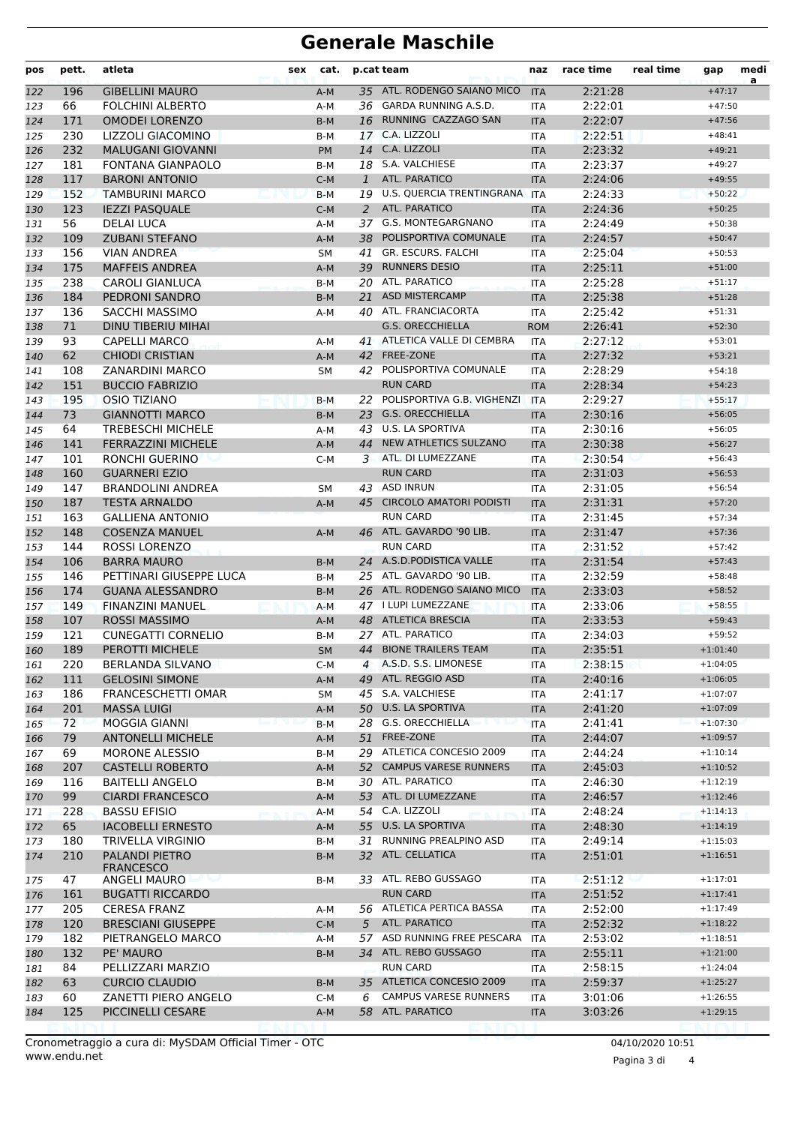## **Generale Maschile**

| pos        | pett.      | atleta                                     | sex | cat.           |              | p.cat team                                        | naz                      | race time          | real time | gap                      | medi<br>a |
|------------|------------|--------------------------------------------|-----|----------------|--------------|---------------------------------------------------|--------------------------|--------------------|-----------|--------------------------|-----------|
| 122        | 196        | <b>GIBELLINI MAURO</b>                     |     | $A-M$          |              | 35 ATL. RODENGO SAIANO MICO                       | <b>ITA</b>               | 2:21:28            |           | $+47:17$                 |           |
| 123        | 66         | <b>FOLCHINI ALBERTO</b>                    |     | $A-M$          | 36           | GARDA RUNNING A.S.D.                              | <b>ITA</b>               | 2:22:01            |           | $+47:50$                 |           |
| 124        | 171        | <b>OMODEI LORENZO</b>                      |     | $B-M$          | 16           | RUNNING CAZZAGO SAN                               | <b>ITA</b>               | 2:22:07            |           | $+47:56$                 |           |
| 125        | 230        | LIZZOLI GIACOMINO                          |     | B-M            | 17           | C.A. LIZZOLI                                      | <b>ITA</b>               | 2:22:51            |           | $+48:41$                 |           |
| 126        | 232        | <b>MALUGANI GIOVANNI</b>                   |     | <b>PM</b>      | 14           | C.A. LIZZOLI                                      | <b>ITA</b>               | 2:23:32            |           | $+49:21$                 |           |
| 127        | 181        | FONTANA GIANPAOLO                          |     | B-M            | 18           | S.A. VALCHIESE                                    | <b>ITA</b>               | 2:23:37            |           | $+49:27$                 |           |
| 128        | 117        | <b>BARONI ANTONIO</b>                      |     | $C-M$          | $\mathbf{1}$ | ATL. PARATICO                                     | <b>ITA</b>               | 2:24:06            |           | $+49:55$                 |           |
| 129        | 152<br>123 | <b>TAMBURINI MARCO</b>                     |     | $B-M$          | 2            | 19 U.S. QUERCIA TRENTINGRANA ITA<br>ATL. PARATICO |                          | 2:24:33            |           | $+50:22$<br>$+50:25$     |           |
| 130<br>131 | 56         | <b>IEZZI PASQUALE</b><br><b>DELAI LUCA</b> |     | $C-M$<br>$A-M$ | 37           | G.S. MONTEGARGNANO                                | <b>ITA</b><br><b>ITA</b> | 2:24:36<br>2:24:49 |           | $+50:38$                 |           |
| 132        | 109        | <b>ZUBANI STEFANO</b>                      |     | $A-M$          | 38           | POLISPORTIVA COMUNALE                             | <b>ITA</b>               | 2:24:57            |           | $+50:47$                 |           |
| 133        | 156        | <b>VIAN ANDREA</b>                         |     | SM             | 41           | GR. ESCURS. FALCHI                                | <b>ITA</b>               | 2:25:04            |           | $+50:53$                 |           |
| 134        | 175        | <b>MAFFEIS ANDREA</b>                      |     | $A-M$          | 39           | <b>RUNNERS DESIO</b>                              | <b>ITA</b>               | 2:25:11            |           | $+51:00$                 |           |
| 135        | 238        | <b>CAROLI GIANLUCA</b>                     |     | $B-M$          |              | 20 ATL. PARATICO                                  | <b>ITA</b>               | 2:25:28            |           | $+51:17$                 |           |
| 136        | 184        | PEDRONI SANDRO                             |     | $B-M$          | 21           | <b>ASD MISTERCAMP</b>                             | <b>ITA</b>               | 2:25:38            |           | $+51:28$                 |           |
| 137        | 136        | <b>SACCHI MASSIMO</b>                      |     | $A-M$          | 40           | ATL. FRANCIACORTA                                 | ITA                      | 2:25:42            |           | $+51:31$                 |           |
| 138        | 71         | <b>DINU TIBERIU MIHAI</b>                  |     |                |              | <b>G.S. ORECCHIELLA</b>                           | <b>ROM</b>               | 2:26:41            |           | $+52:30$                 |           |
| 139        | 93         | <b>CAPELLI MARCO</b>                       |     | A-M            |              | 41 ATLETICA VALLE DI CEMBRA                       | <b>ITA</b>               | 2:27:12            |           | $+53:01$                 |           |
| 140        | 62         | <b>CHIODI CRISTIAN</b>                     |     | $A-M$          | 42           | FREE-ZONE                                         | <b>ITA</b>               | 2:27:32            |           | $+53:21$                 |           |
| 141        | 108        | <b>ZANARDINI MARCO</b>                     |     | <b>SM</b>      |              | 42 POLISPORTIVA COMUNALE                          | <b>ITA</b>               | 2:28:29            |           | $+54:18$                 |           |
| 142        | 151        | <b>BUCCIO FABRIZIO</b>                     |     |                |              | <b>RUN CARD</b>                                   | <b>ITA</b>               | 2:28:34            |           | $+54:23$                 |           |
| 143        | 195        | <b>OSIO TIZIANO</b>                        |     | $B-M$          | 22           | POLISPORTIVA G.B. VIGHENZI                        | <b>ITA</b>               | 2:29:27            |           | $+55:17$                 |           |
| 144        | 73         | <b>GIANNOTTI MARCO</b>                     |     | $B-M$          | 23           | <b>G.S. ORECCHIELLA</b>                           | <b>ITA</b>               | 2:30:16            |           | $+56:05$                 |           |
| 145        | 64         | <b>TREBESCHI MICHELE</b>                   |     | $A-M$          | 43           | U.S. LA SPORTIVA                                  | <b>ITA</b>               | 2:30:16            |           | $+56:05$                 |           |
| 146        | 141        | <b>FERRAZZINI MICHELE</b>                  |     | $A-M$          | 44           | NEW ATHLETICS SULZANO                             | <b>ITA</b>               | 2:30:38            |           | $+56:27$                 |           |
| 147        | 101        | RONCHI GUERINO                             |     | $C-M$          | 3            | ATL. DI LUMEZZANE                                 | <b>ITA</b>               | 2:30:54            |           | $+56:43$                 |           |
| 148        | 160        | <b>GUARNERI EZIO</b>                       |     |                |              | <b>RUN CARD</b>                                   | <b>ITA</b>               | 2:31:03            |           | $+56:53$                 |           |
| 149        | 147        | <b>BRANDOLINI ANDREA</b>                   |     | SM             | 43           | <b>ASD INRUN</b>                                  | <b>ITA</b>               | 2:31:05            |           | $+56:54$                 |           |
| 150        | 187        | <b>TESTA ARNALDO</b>                       |     | $A-M$          | 45           | <b>CIRCOLO AMATORI PODISTI</b>                    | <b>ITA</b>               | 2:31:31            |           | $+57:20$                 |           |
| 151        | 163        | <b>GALLIENA ANTONIO</b>                    |     |                |              | <b>RUN CARD</b>                                   | <b>ITA</b>               | 2:31:45            |           | $+57:34$                 |           |
| 152        | 148        | <b>COSENZA MANUEL</b>                      |     | A-M            |              | 46 ATL. GAVARDO '90 LIB.<br><b>RUN CARD</b>       | <b>ITA</b>               | 2:31:47            |           | $+57:36$                 |           |
| 153        | 144<br>106 | <b>ROSSI LORENZO</b><br><b>BARRA MAURO</b> |     |                |              | 24 A.S.D.PODISTICA VALLE                          | <b>ITA</b>               | 2:31:52<br>2:31:54 |           | $+57:42$<br>$+57:43$     |           |
| 154<br>155 | 146        | PETTINARI GIUSEPPE LUCA                    |     | $B-M$<br>B-M   |              | 25 ATL. GAVARDO '90 LIB.                          | <b>ITA</b><br><b>ITA</b> | 2:32:59            |           | $+58:48$                 |           |
| 156        | 174        | <b>GUANA ALESSANDRO</b>                    |     | $B-M$          |              | 26 ATL. RODENGO SAIANO MICO                       | <b>ITA</b>               | 2:33:03            |           | $+58:52$                 |           |
| 157        | 149        | <b>FINANZINI MANUEL</b>                    |     | $A-M$          |              | 47 I LUPI LUMEZZANE                               | <b>ITA</b>               | 2:33:06            |           | $+58:55$                 |           |
| 158        | 107        | <b>ROSSI MASSIMO</b>                       |     | $A-M$          |              | 48 ATLETICA BRESCIA                               | <b>ITA</b>               | 2:33:53            |           | $+59:43$                 |           |
| 159        | 121        | <b>CUNEGATTI CORNELIO</b>                  |     | B-M            | 27           | ATL. PARATICO                                     | <b>ITA</b>               | 2:34:03            |           | $+59:52$                 |           |
| 160        | 189        | PEROTTI MICHELE                            |     | <b>SM</b>      | 44           | <b>BIONE TRAILERS TEAM</b>                        | <b>ITA</b>               | 2:35:51            |           | $+1:01:40$               |           |
| 161        | 220        | BERLANDA SILVANO                           |     | $C-M$          | 4            | A.S.D. S.S. LIMONESE                              | ITA                      | 2:38:15            |           | $+1:04:05$               |           |
| 162        | 111        | <b>GELOSINI SIMONE</b>                     |     | $A-M$          |              | 49 ATL. REGGIO ASD                                | <b>ITA</b>               | 2:40:16            |           | $+1:06:05$               |           |
| 163        | 186        | <b>FRANCESCHETTI OMAR</b>                  |     | SM             | 45           | S.A. VALCHIESE                                    | ITA                      | 2:41:17            |           | $+1:07:07$               |           |
| 164        | 201        | <b>MASSA LUIGI</b>                         |     | $A-M$          |              | 50 U.S. LA SPORTIVA                               | <b>ITA</b>               | 2:41:20            |           | $+1:07:09$               |           |
| 165        | 72         | <b>MOGGIA GIANNI</b>                       |     | $B-M$          |              | 28 G.S. ORECCHIELLA                               | <b>ITA</b>               | 2:41:41            |           | $+1:07:30$               |           |
| 166        | 79         | <b>ANTONELLI MICHELE</b>                   |     | A-M            | 51           | FREE-ZONE                                         | <b>ITA</b>               | 2:44:07            |           | $+1:09:57$               |           |
| 167        | 69         | <b>MORONE ALESSIO</b>                      |     | B-M            |              | 29 ATLETICA CONCESIO 2009                         | ITA                      | 2:44:24            |           | $+1:10:14$               |           |
| 168        | 207        | <b>CASTELLI ROBERTO</b>                    |     | A-M            | 52           | <b>CAMPUS VARESE RUNNERS</b>                      | <b>ITA</b>               | 2:45:03            |           | $+1:10:52$               |           |
| 169        | 116        | <b>BAITELLI ANGELO</b>                     |     | B-M            |              | 30 ATL. PARATICO                                  | ITA                      | 2:46:30            |           | $+1:12:19$               |           |
| 170        | 99         | <b>CIARDI FRANCESCO</b>                    |     | A-M            |              | 53 ATL. DI LUMEZZANE                              | <b>ITA</b>               | 2:46:57            |           | $+1:12:46$               |           |
| 171        | 228        | <b>BASSU EFISIO</b>                        |     | A-M            |              | 54 C.A. LIZZOLI                                   | <b>ITA</b>               | 2:48:24            |           | $+1:14:13$               |           |
| 172        | 65         | <b>IACOBELLI ERNESTO</b>                   |     | A-M            |              | 55 U.S. LA SPORTIVA                               | <b>ITA</b>               | 2:48:30            |           | $+1:14:19$               |           |
| 173        | 180        | TRIVELLA VIRGINIO                          |     | B-M            | 31           | RUNNING PREALPINO ASD                             | ITA                      | 2:49:14            |           | $+1:15:03$               |           |
| 174        | 210        | PALANDI PIETRO<br><b>FRANCESCO</b>         |     | B-M            |              | 32 ATL. CELLATICA                                 | <b>ITA</b>               | 2:51:01            |           | $+1:16:51$               |           |
| 175        | 47         | ANGELI MAURO                               |     | B-M            |              | 33 ATL. REBO GUSSAGO                              | ITA                      | 2:51:12            |           | $+1:17:01$               |           |
| 176        | 161        | <b>BUGATTI RICCARDO</b>                    |     |                |              | <b>RUN CARD</b>                                   | <b>ITA</b>               | 2:51:52            |           | $+1:17:41$               |           |
| 177        | 205        | <b>CERESA FRANZ</b>                        |     | A-M            |              | 56 ATLETICA PERTICA BASSA                         | ITA                      | 2:52:00            |           | $+1:17:49$               |           |
| 178        | 120        | <b>BRESCIANI GIUSEPPE</b>                  |     | $C-M$          |              | 5 ATL. PARATICO<br>57 ASD RUNNING FREE PESCARA    | <b>ITA</b>               | 2:52:32            |           | $+1:18:22$<br>$+1:18:51$ |           |
| 179        | 182<br>132 | PIETRANGELO MARCO<br>PE' MAURO             |     | A-M<br>B-M     |              | 34 ATL. REBO GUSSAGO                              | <b>ITA</b><br><b>ITA</b> | 2:53:02<br>2:55:11 |           | $+1:21:00$               |           |
| 180<br>181 | 84         | PELLIZZARI MARZIO                          |     |                |              | <b>RUN CARD</b>                                   | ITA                      | 2:58:15            |           | $+1:24:04$               |           |
| 182        | 63         | <b>CURCIO CLAUDIO</b>                      |     | B-M            |              | 35 ATLETICA CONCESIO 2009                         | <b>ITA</b>               | 2:59:37            |           | $+1:25:27$               |           |
| 183        | 60         | ZANETTI PIERO ANGELO                       |     | $C-M$          | 6            | <b>CAMPUS VARESE RUNNERS</b>                      | ITA                      | 3:01:06            |           | $+1:26:55$               |           |
| 184        | 125        | PICCINELLI CESARE                          |     | $A-M$          |              | 58 ATL. PARATICO                                  | <b>ITA</b>               | 3:03:26            |           | $+1:29:15$               |           |
|            |            |                                            |     |                |              |                                                   |                          |                    |           |                          |           |

Pagina 3 di 4